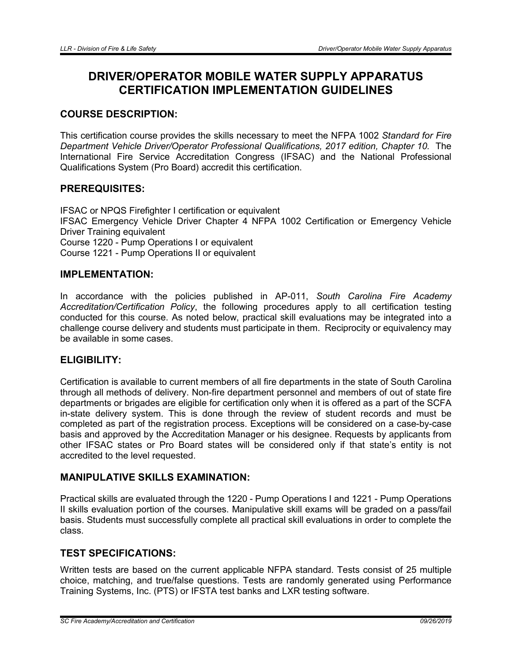# DRIVER/OPERATOR MOBILE WATER SUPPLY APPARATUS CERTIFICATION IMPLEMENTATION GUIDELINES

# COURSE DESCRIPTION:

This certification course provides the skills necessary to meet the NFPA 1002 *Standard for Fire Department Vehicle Driver/Operator Professional Qualifications, 2017 edition, Chapter 10.* The International Fire Service Accreditation Congress (IFSAC) and the National Professional Qualifications System (Pro Board) accredit this certification.

# PREREQUISITES:

IFSAC or NPQS Firefighter I certification or equivalent IFSAC Emergency Vehicle Driver Chapter 4 NFPA 1002 Certification or Emergency Vehicle Driver Training equivalent Course 1220 - Pump Operations I or equivalent Course 1221 - Pump Operations II or equivalent

## IMPLEMENTATION:

In accordance with the policies published in AP-011, *South Carolina Fire Academy Accreditation/Certification Policy*, the following procedures apply to all certification testing conducted for this course. As noted below, practical skill evaluations may be integrated into a challenge course delivery and students must participate in them. Reciprocity or equivalency may be available in some cases.

## ELIGIBILITY:

Certification is available to current members of all fire departments in the state of South Carolina through all methods of delivery. Non-fire department personnel and members of out of state fire departments or brigades are eligible for certification only when it is offered as a part of the SCFA in-state delivery system. This is done through the review of student records and must be completed as part of the registration process. Exceptions will be considered on a case-by-case basis and approved by the Accreditation Manager or his designee. Requests by applicants from other IFSAC states or Pro Board states will be considered only if that state's entity is not accredited to the level requested.

## MANIPULATIVE SKILLS EXAMINATION:

Practical skills are evaluated through the 1220 - Pump Operations I and 1221 - Pump Operations II skills evaluation portion of the courses. Manipulative skill exams will be graded on a pass/fail basis. Students must successfully complete all practical skill evaluations in order to complete the class.

# TEST SPECIFICATIONS:

Written tests are based on the current applicable NFPA standard. Tests consist of 25 multiple choice, matching, and true/false questions. Tests are randomly generated using Performance Training Systems, Inc. (PTS) or IFSTA test banks and LXR testing software.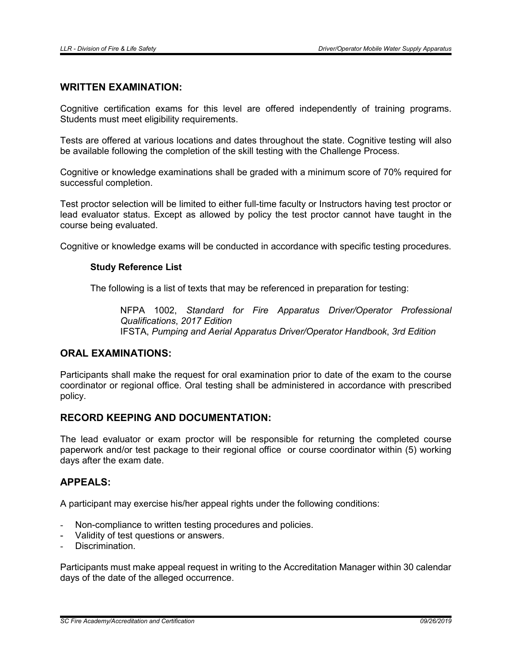#### WRITTEN EXAMINATION:

Cognitive certification exams for this level are offered independently of training programs. Students must meet eligibility requirements.

Tests are offered at various locations and dates throughout the state. Cognitive testing will also be available following the completion of the skill testing with the Challenge Process.

Cognitive or knowledge examinations shall be graded with a minimum score of 70% required for successful completion.

Test proctor selection will be limited to either full-time faculty or Instructors having test proctor or lead evaluator status. Except as allowed by policy the test proctor cannot have taught in the course being evaluated.

Cognitive or knowledge exams will be conducted in accordance with specific testing procedures.

#### Study Reference List

The following is a list of texts that may be referenced in preparation for testing:

NFPA 1002, *Standard for Fire Apparatus Driver/Operator Professional Qualifications*, *2017 Edition* IFSTA, *Pumping and Aerial Apparatus Driver/Operator Handbook*, *3rd Edition*

## ORAL EXAMINATIONS:

Participants shall make the request for oral examination prior to date of the exam to the course coordinator or regional office. Oral testing shall be administered in accordance with prescribed policy.

#### RECORD KEEPING AND DOCUMENTATION:

The lead evaluator or exam proctor will be responsible for returning the completed course paperwork and/or test package to their regional office or course coordinator within (5) working days after the exam date.

#### APPEALS:

A participant may exercise his/her appeal rights under the following conditions:

- Non-compliance to written testing procedures and policies.
- Validity of test questions or answers.
- Discrimination.

Participants must make appeal request in writing to the Accreditation Manager within 30 calendar days of the date of the alleged occurrence.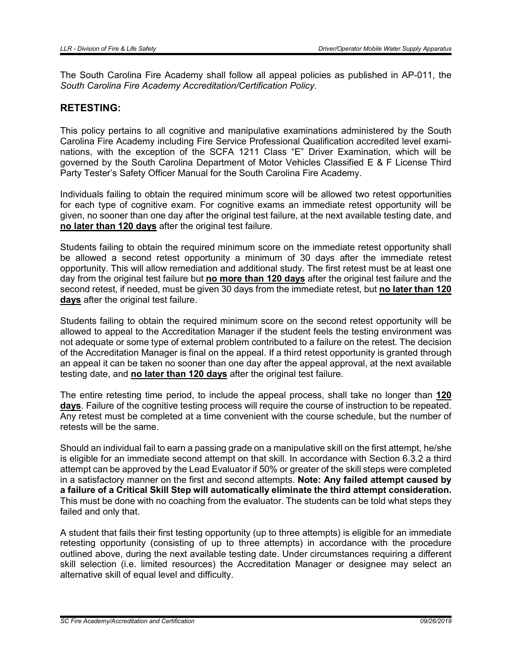The South Carolina Fire Academy shall follow all appeal policies as published in AP-011, the *South Carolina Fire Academy Accreditation/Certification Policy*.

#### RETESTING:

This policy pertains to all cognitive and manipulative examinations administered by the South Carolina Fire Academy including Fire Service Professional Qualification accredited level examinations, with the exception of the SCFA 1211 Class "E" Driver Examination, which will be governed by the South Carolina Department of Motor Vehicles Classified E & F License Third Party Tester's Safety Officer Manual for the South Carolina Fire Academy.

Individuals failing to obtain the required minimum score will be allowed two retest opportunities for each type of cognitive exam. For cognitive exams an immediate retest opportunity will be given, no sooner than one day after the original test failure, at the next available testing date, and no later than 120 days after the original test failure.

Students failing to obtain the required minimum score on the immediate retest opportunity shall be allowed a second retest opportunity a minimum of 30 days after the immediate retest opportunity. This will allow remediation and additional study. The first retest must be at least one day from the original test failure but no more than 120 days after the original test failure and the second retest, if needed, must be given 30 days from the immediate retest, but no later than 120 days after the original test failure.

Students failing to obtain the required minimum score on the second retest opportunity will be allowed to appeal to the Accreditation Manager if the student feels the testing environment was not adequate or some type of external problem contributed to a failure on the retest. The decision of the Accreditation Manager is final on the appeal. If a third retest opportunity is granted through an appeal it can be taken no sooner than one day after the appeal approval, at the next available testing date, and no later than 120 days after the original test failure.

The entire retesting time period, to include the appeal process, shall take no longer than 120 days. Failure of the cognitive testing process will require the course of instruction to be repeated. Any retest must be completed at a time convenient with the course schedule, but the number of retests will be the same.

Should an individual fail to earn a passing grade on a manipulative skill on the first attempt, he/she is eligible for an immediate second attempt on that skill. In accordance with Section 6.3.2 a third attempt can be approved by the Lead Evaluator if 50% or greater of the skill steps were completed in a satisfactory manner on the first and second attempts. Note: Any failed attempt caused by a failure of a Critical Skill Step will automatically eliminate the third attempt consideration. This must be done with no coaching from the evaluator. The students can be told what steps they failed and only that.

A student that fails their first testing opportunity (up to three attempts) is eligible for an immediate retesting opportunity (consisting of up to three attempts) in accordance with the procedure outlined above, during the next available testing date. Under circumstances requiring a different skill selection (i.e. limited resources) the Accreditation Manager or designee may select an alternative skill of equal level and difficulty.